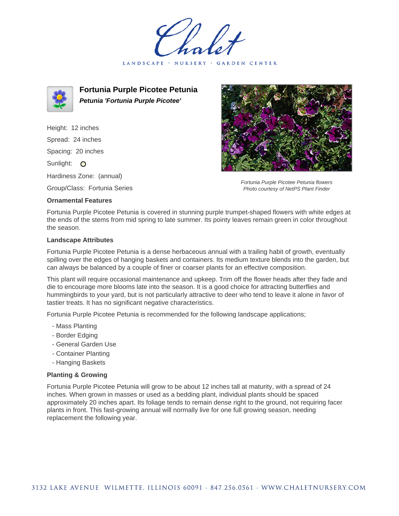LANDSCAPE · NURSERY · GARDEN CENTER



**Fortunia Purple Picotee Petunia Petunia 'Fortunia Purple Picotee'**

Height: 12 inches Spread: 24 inches Spacing: 20 inches Sunlight: O Hardiness Zone: (annual)

Group/Class: Fortunia Series

## **Ornamental Features**



Fortunia Purple Picotee Petunia flowers Photo courtesy of NetPS Plant Finder

Fortunia Purple Picotee Petunia is covered in stunning purple trumpet-shaped flowers with white edges at the ends of the stems from mid spring to late summer. Its pointy leaves remain green in color throughout the season.

## **Landscape Attributes**

Fortunia Purple Picotee Petunia is a dense herbaceous annual with a trailing habit of growth, eventually spilling over the edges of hanging baskets and containers. Its medium texture blends into the garden, but can always be balanced by a couple of finer or coarser plants for an effective composition.

This plant will require occasional maintenance and upkeep. Trim off the flower heads after they fade and die to encourage more blooms late into the season. It is a good choice for attracting butterflies and hummingbirds to your yard, but is not particularly attractive to deer who tend to leave it alone in favor of tastier treats. It has no significant negative characteristics.

Fortunia Purple Picotee Petunia is recommended for the following landscape applications;

- Mass Planting
- Border Edging
- General Garden Use
- Container Planting
- Hanging Baskets

## **Planting & Growing**

Fortunia Purple Picotee Petunia will grow to be about 12 inches tall at maturity, with a spread of 24 inches. When grown in masses or used as a bedding plant, individual plants should be spaced approximately 20 inches apart. Its foliage tends to remain dense right to the ground, not requiring facer plants in front. This fast-growing annual will normally live for one full growing season, needing replacement the following year.